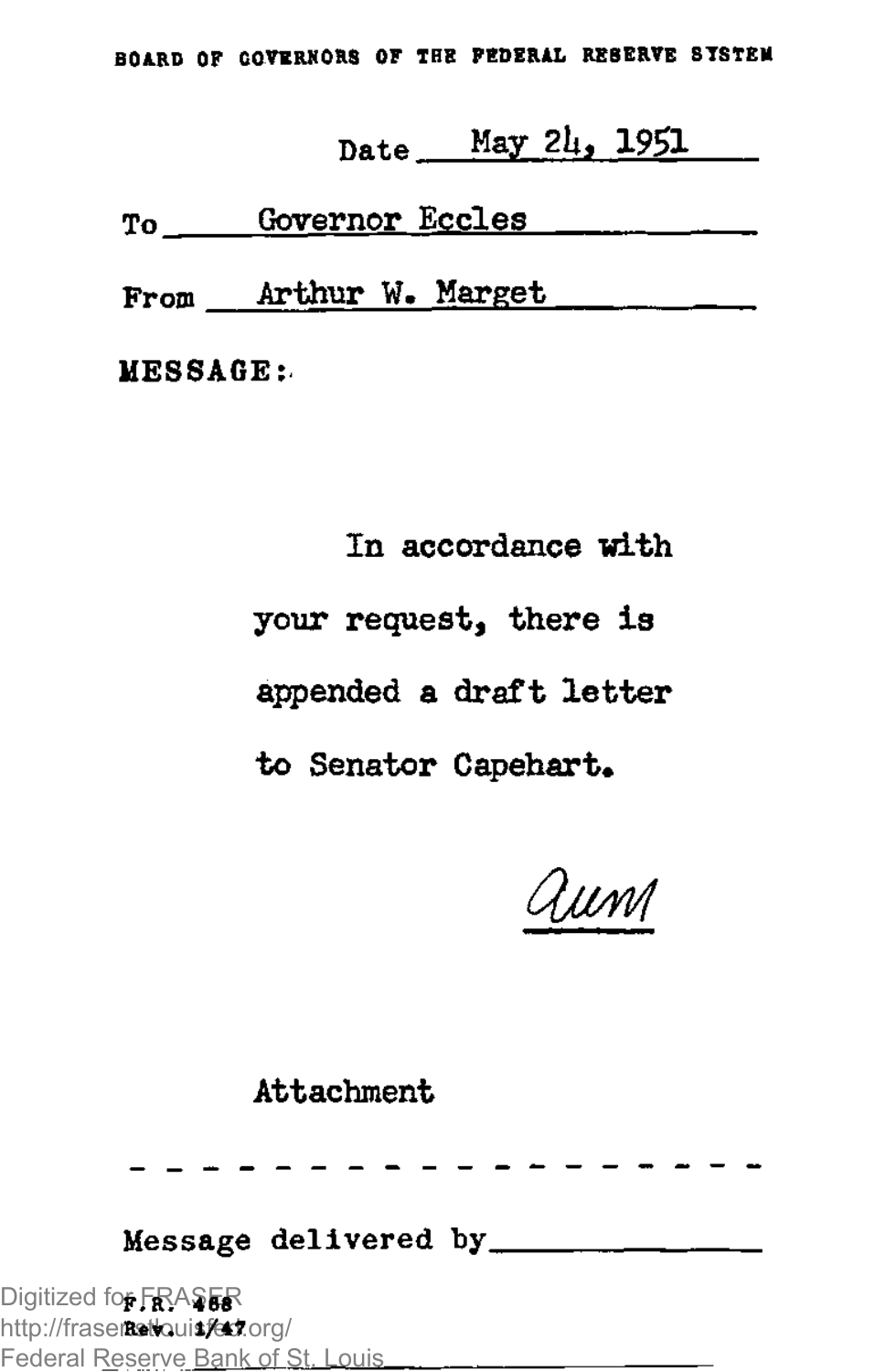**BOARD OF GOVERNORS OF THE FEDERAL RESERVE SYSTEM** 

## Date May 24, 1951

To Governor Eccles

 $From$  Arthur W. Marget  $\frac{1}{1}$ 

MESSAGE:

In accordance with your request, there is appended a draft letter to Senator Capehart.

*CfjMl/l* 

## Attachment

Message delivered by.

**F\* R. 46 8**  Digitized for FRASER **Rev . 1/4 7**  http://fraser.stlouisfed.org/ Federal Reserve Bank of St. Louis **Committee Contract Contract Contract**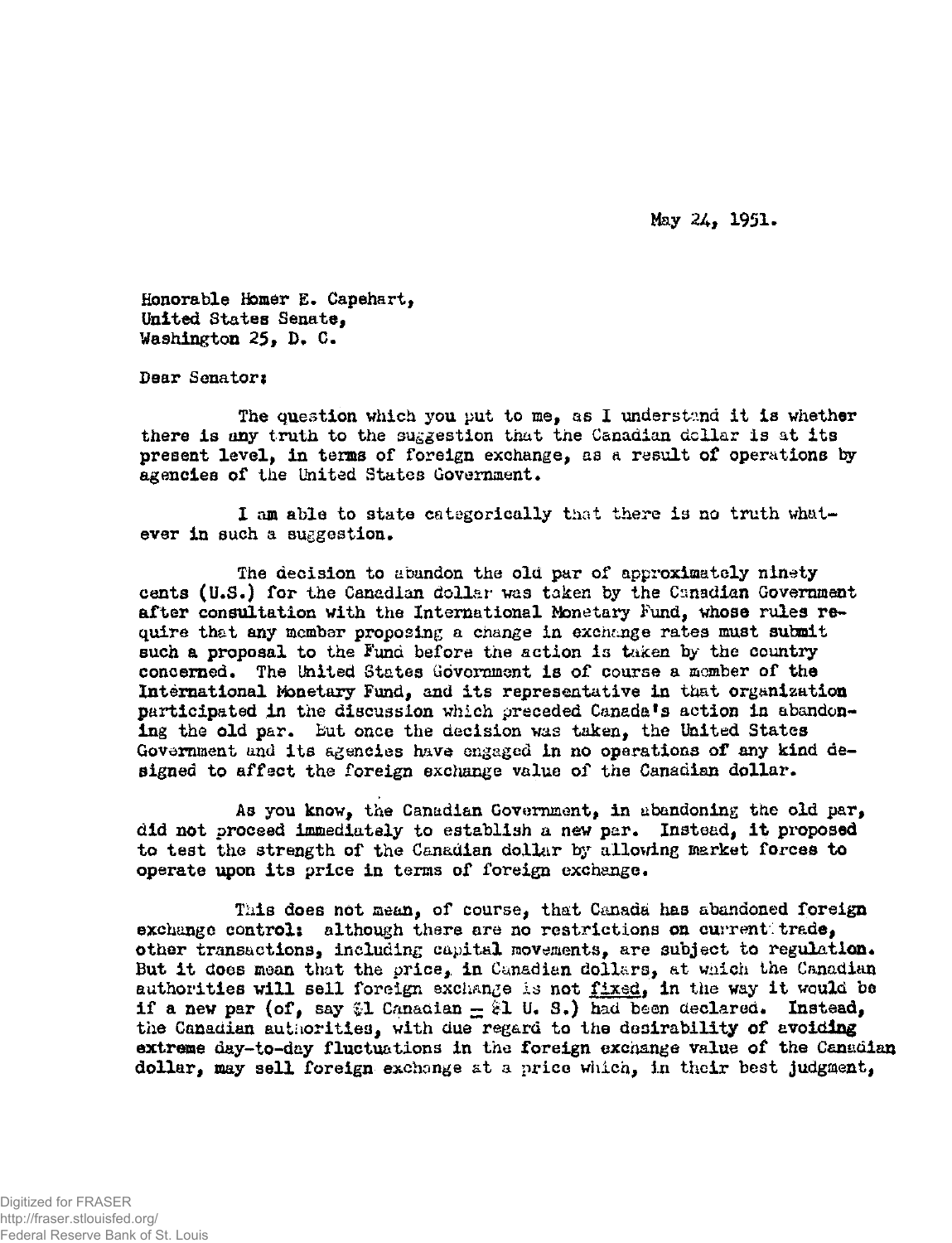May 24, 1951.

Honorable Homer E. Capehart, United States Senate, Washington 25, D. C.

Dear Senator;

The question which you put to me, as I understand it is whether there is any truth to the suggestion that the Canadian dollar is at its present level, in terms of foreign exchange, as a result of operations by agencies of the United States Government.

I am able to state categorically that there is no truth whatever in such a suggestion.

The decision to abandon the old par of approximately ninety cents (U.S.) for the Canadian dollar was taken by the Canadian Government after consultation with the International Monetary Fund, whose rules require that any member proposing a change in exchange rates must submit such a proposal to the Fund before the action is taken by the country concerned. The United States Government is of course a member of the International Monetary Fund, and its representative in that organization participated in the discussion which preceded Canada's action in abandoning the old par. But once the decision was taken, the United States Government and its agencies have engaged in no operations of any kind designed to affect the foreign exchange value of the Canadian dollar.

As you know, the Canadian Government, in abandoning the old par, did not proceed immediately to establish a new par. Instead, it proposed to test the strength of the Canadian dollar by allowing market forces to operate upon its price in terms of foreign exchange.

This does not mean, of course, that Canada has abandoned foreign exchange control: although there are no restrictions on current trade, other transactions, including capital movements, are subject to regulation. But it does mean that the price, in Canadian dollars, at which the Canadian authorities will sell foreign exchange *is* not fixed, in the way it would be if a new par (of, say  $Z1$  Canadian  $= Z1$  U. S.) had been declared. Instead, the Canadian authorities, with due regard to the desirability of avoiding extreme day-to-day fluctuations in the foreign exchange value of the Canadian dollar, may sell foreign exchange at a price which, in their best judgment,